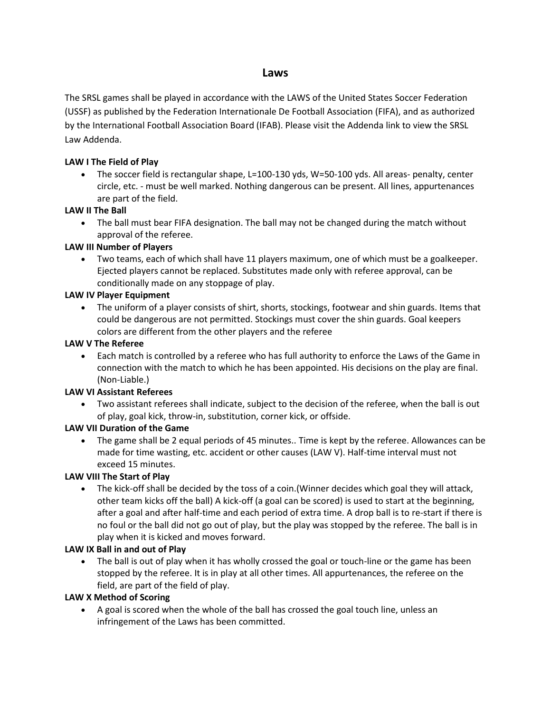# **Laws**

The SRSL games shall be played in accordance with the LAWS of the United States Soccer Federation (USSF) as published by the Federation Internationale De Football Association (FIFA), and as authorized by the International Football Association Board (IFAB). Please visit the Addenda link to view the SRSL Law Addenda.

### **LAW I The Field of Play**

• The soccer field is rectangular shape, L=100-130 yds, W=50-100 yds. All areas- penalty, center circle, etc. - must be well marked. Nothing dangerous can be present. All lines, appurtenances are part of the field.

## **LAW II The Ball**

 The ball must bear FIFA designation. The ball may not be changed during the match without approval of the referee.

### **LAW III Number of Players**

 Two teams, each of which shall have 11 players maximum, one of which must be a goalkeeper. Ejected players cannot be replaced. Substitutes made only with referee approval, can be conditionally made on any stoppage of play.

### **LAW IV Player Equipment**

 The uniform of a player consists of shirt, shorts, stockings, footwear and shin guards. Items that could be dangerous are not permitted. Stockings must cover the shin guards. Goal keepers colors are different from the other players and the referee

### **LAW V The Referee**

 Each match is controlled by a referee who has full authority to enforce the Laws of the Game in connection with the match to which he has been appointed. His decisions on the play are final. (Non-Liable.)

#### **LAW VI Assistant Referees**

 Two assistant referees shall indicate, subject to the decision of the referee, when the ball is out of play, goal kick, throw-in, substitution, corner kick, or offside.

## **LAW VII Duration of the Game**

 The game shall be 2 equal periods of 45 minutes.. Time is kept by the referee. Allowances can be made for time wasting, etc. accident or other causes (LAW V). Half-time interval must not exceed 15 minutes.

## **LAW VIII The Start of Play**

 The kick-off shall be decided by the toss of a coin.(Winner decides which goal they will attack, other team kicks off the ball) A kick-off (a goal can be scored) is used to start at the beginning, after a goal and after half-time and each period of extra time. A drop ball is to re-start if there is no foul or the ball did not go out of play, but the play was stopped by the referee. The ball is in play when it is kicked and moves forward.

#### **LAW IX Ball in and out of Play**

 The ball is out of play when it has wholly crossed the goal or touch-line or the game has been stopped by the referee. It is in play at all other times. All appurtenances, the referee on the field, are part of the field of play.

#### **LAW X Method of Scoring**

 A goal is scored when the whole of the ball has crossed the goal touch line, unless an infringement of the Laws has been committed.